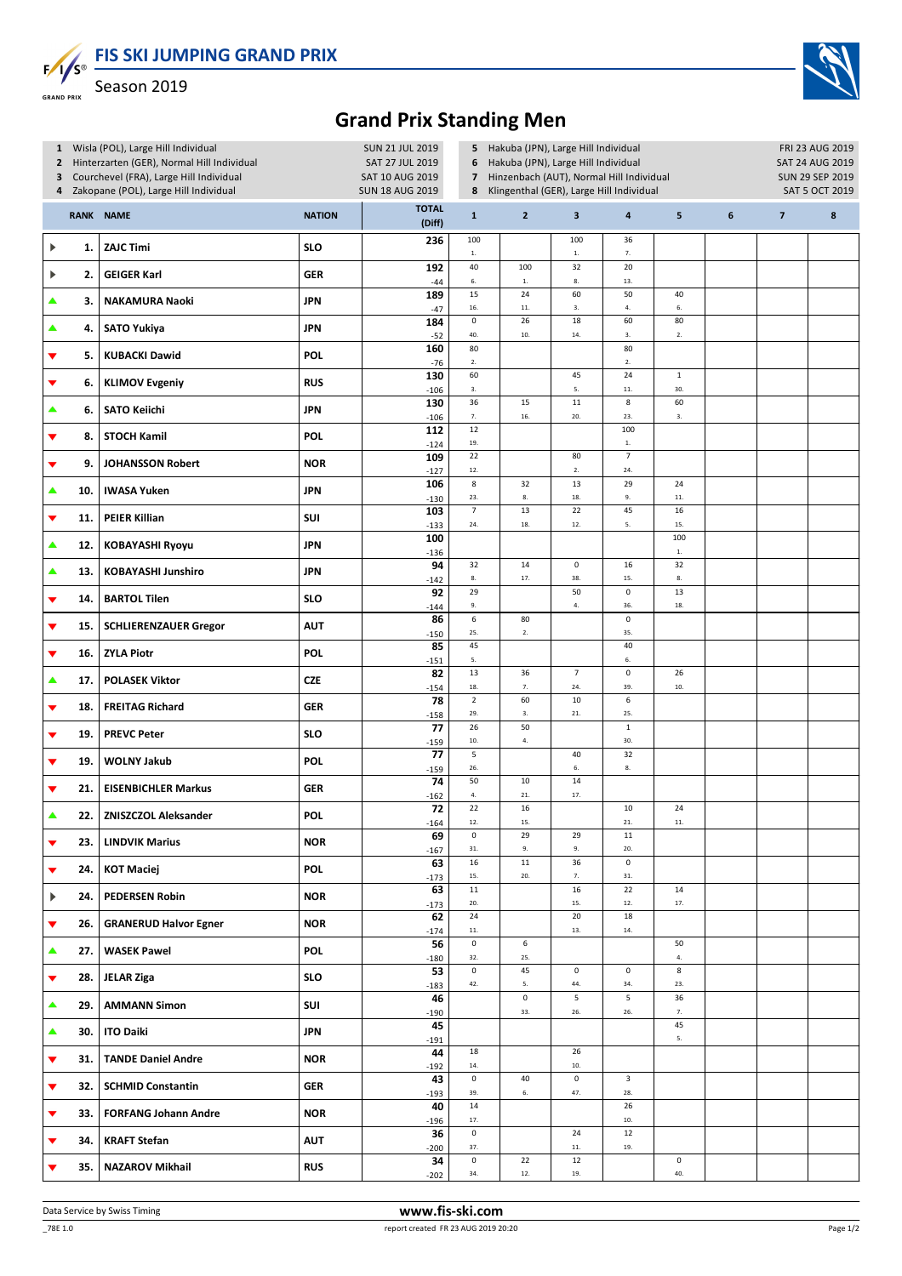**FIS SKI JUMPING GRAND PRIX**  $F/I/S^{\circ}$ 



Season 2019 .<br>GRAND PRIX

## **Grand Prix Standing Men**

|                       | 1 Wisla (POL), Large Hill Individual<br>Hinterzarten (GER), Normal Hill Individual<br>$\overline{2}$ |                                       |               |                                                                  | 5 Hakuba (JPN), Large Hill Individual<br><b>SUN 21 JUL 2019</b><br>SAT 27 JUL 2019<br>Hakuba (JPN), Large Hill Individual<br>6 |                      |                         |                                     |                   |   |                 | FRI 23 AUG 2019<br>SAT 24 AUG 2019 |  |  |
|-----------------------|------------------------------------------------------------------------------------------------------|---------------------------------------|---------------|------------------------------------------------------------------|--------------------------------------------------------------------------------------------------------------------------------|----------------------|-------------------------|-------------------------------------|-------------------|---|-----------------|------------------------------------|--|--|
|                       | Courchevel (FRA), Large Hill Individual<br>3                                                         |                                       |               | Hinzenbach (AUT), Normal Hill Individual<br>SAT 10 AUG 2019<br>7 |                                                                                                                                |                      |                         |                                     |                   |   | SUN 29 SEP 2019 |                                    |  |  |
| 4                     |                                                                                                      | Zakopane (POL), Large Hill Individual |               | <b>SUN 18 AUG 2019</b>                                           | Klingenthal (GER), Large Hill Individual<br>8                                                                                  |                      |                         |                                     |                   |   | SAT 5 OCT 2019  |                                    |  |  |
|                       |                                                                                                      | RANK NAME                             | <b>NATION</b> | <b>TOTAL</b><br>(Diff)                                           | $\mathbf{1}$                                                                                                                   | $\overline{2}$       | $\overline{\mathbf{3}}$ | $\overline{\mathbf{a}}$             | 5                 | 6 | $\overline{7}$  | $\boldsymbol{8}$                   |  |  |
| ▶                     | 1.                                                                                                   | <b>ZAJC Timi</b>                      | <b>SLO</b>    | 236                                                              | 100<br>$1. \,$                                                                                                                 |                      | 100<br>$1. \,$          | 36<br>7.                            |                   |   |                 |                                    |  |  |
| ▶                     | 2.                                                                                                   | <b>GEIGER Karl</b>                    | <b>GER</b>    | 192<br>$-44$                                                     | 40<br>$\mathbf{6}.$                                                                                                            | 100<br>$\mathbf{1}.$ | 32<br>$\bf 8.$          | 20<br>13.                           |                   |   |                 |                                    |  |  |
| ▲                     | 3.                                                                                                   | <b>NAKAMURA Naoki</b>                 | <b>JPN</b>    | 189                                                              | 15                                                                                                                             | 24                   | 60                      | 50                                  | 40                |   |                 |                                    |  |  |
| ▲                     | 4.                                                                                                   | <b>SATO Yukiya</b>                    | <b>JPN</b>    | $-47$<br>184                                                     | 16.<br>$\mathsf 0$                                                                                                             | $\bf 11.$<br>26      | 3.<br>18                | 4.<br>60                            | 6.<br>80          |   |                 |                                    |  |  |
| ▼                     | 5.                                                                                                   | <b>KUBACKI Dawid</b>                  | <b>POL</b>    | $-52$<br>160                                                     | 40.<br>80                                                                                                                      | 10.                  | 14.                     | 3.<br>80                            | ${\bf 2}.$        |   |                 |                                    |  |  |
| ▼                     | 6.                                                                                                   | <b>KLIMOV Evgeniy</b>                 | <b>RUS</b>    | $-76$<br>130                                                     | $2. \,$<br>60                                                                                                                  |                      | 45                      | 2.<br>24                            | $\mathbf 1$       |   |                 |                                    |  |  |
| ▲                     | 6.                                                                                                   | <b>SATO Keiichi</b>                   | <b>JPN</b>    | $-106$<br>130                                                    | 3.<br>36                                                                                                                       | 15                   | 5.<br>$11\,$            | $\bf 11.$<br>$\bf 8$                | 30.<br>60         |   |                 |                                    |  |  |
|                       |                                                                                                      |                                       |               | $-106$<br>112                                                    | 7.<br>12                                                                                                                       | 16.                  | 20.                     | 23.<br>100                          | 3.                |   |                 |                                    |  |  |
| ▼                     | 8.                                                                                                   | <b>STOCH Kamil</b>                    | POL           | $-124$<br>109                                                    | 19.<br>22                                                                                                                      |                      | 80                      | $1. \,$<br>$\overline{\phantom{a}}$ |                   |   |                 |                                    |  |  |
| ▼                     | 9.                                                                                                   | <b>JOHANSSON Robert</b>               | <b>NOR</b>    | $-127$                                                           | 12.                                                                                                                            |                      | $2. \,$                 | 24.                                 |                   |   |                 |                                    |  |  |
| ▲                     | 10.                                                                                                  | <b>IWASA Yuken</b>                    | <b>JPN</b>    | 106<br>$-130$                                                    | $\bf 8$<br>23.                                                                                                                 | 32<br>8.             | 13<br>18.               | 29<br>9.                            | 24<br>$\bf 11.$   |   |                 |                                    |  |  |
| ▼                     | 11.                                                                                                  | <b>PEIER Killian</b>                  | SUI           | 103<br>$-133$                                                    | $\overline{7}$<br>24.                                                                                                          | 13<br>18.            | 22<br>12.               | 45<br>5.                            | 16<br>15.         |   |                 |                                    |  |  |
| ▲                     | 12.                                                                                                  | <b>KOBAYASHI Ryoyu</b>                | <b>JPN</b>    | 100<br>$-136$                                                    |                                                                                                                                |                      |                         |                                     | 100<br>${\bf 1}.$ |   |                 |                                    |  |  |
| ▲                     | 13.                                                                                                  | <b>KOBAYASHI Junshiro</b>             | <b>JPN</b>    | 94<br>$-142$                                                     | 32<br>${\bf 8}.$                                                                                                               | 14<br>17.            | $\mathbf 0$<br>38.      | 16<br>15.                           | 32<br>8.          |   |                 |                                    |  |  |
| ▼                     | 14.                                                                                                  | <b>BARTOL Tilen</b>                   | <b>SLO</b>    | 92<br>$-144$                                                     | 29<br>9.                                                                                                                       |                      | 50<br>$4. \,$           | $\pmb{0}$<br>36.                    | 13<br>18.         |   |                 |                                    |  |  |
| ▼                     | 15.                                                                                                  | <b>SCHLIERENZAUER Gregor</b>          | <b>AUT</b>    | 86<br>$-150$                                                     | $\boldsymbol{6}$<br>25.                                                                                                        | 80<br>2.             |                         | $\mathbf 0$<br>35.                  |                   |   |                 |                                    |  |  |
| ▼                     | 16.                                                                                                  | <b>ZYLA Piotr</b>                     | POL           | 85<br>$-151$                                                     | 45<br>5.                                                                                                                       |                      |                         | 40<br>6.                            |                   |   |                 |                                    |  |  |
| ▲                     | 17.                                                                                                  | <b>POLASEK Viktor</b>                 | <b>CZE</b>    | 82<br>$-154$                                                     | $13\,$<br>18.                                                                                                                  | 36<br>7.             | $\overline{7}$<br>24.   | $\pmb{0}$<br>39.                    | 26<br>$10.$       |   |                 |                                    |  |  |
| ▼                     | 18.                                                                                                  | <b>FREITAG Richard</b>                | <b>GER</b>    | 78<br>$-158$                                                     | $\overline{2}$<br>29.                                                                                                          | 60<br>3.             | $10\,$<br>21.           | 6<br>25.                            |                   |   |                 |                                    |  |  |
| ▼                     | 19.                                                                                                  | <b>PREVC Peter</b>                    | <b>SLO</b>    | 77<br>$-159$                                                     | 26<br>10.                                                                                                                      | 50<br>$4. \,$        |                         | $\mathbf 1$<br>30.                  |                   |   |                 |                                    |  |  |
| ▼                     | 19.                                                                                                  | <b>WOLNY Jakub</b>                    | <b>POL</b>    | 77<br>$-159$                                                     | 5<br>26.                                                                                                                       |                      | 40<br>6.                | 32<br>8.                            |                   |   |                 |                                    |  |  |
| ▼                     | 21.                                                                                                  | <b>EISENBICHLER Markus</b>            | <b>GER</b>    | 74<br>$-162$                                                     | 50<br>4.                                                                                                                       | $10\,$<br>21.        | 14<br>17.               |                                     |                   |   |                 |                                    |  |  |
| ▲                     | 22.                                                                                                  | <b>ZNISZCZOL Aleksander</b>           | POL           | 72<br>$-164$                                                     | 22<br>12.                                                                                                                      | 16<br>15.            |                         | 10<br>21.                           | 24<br>11.         |   |                 |                                    |  |  |
| ▼                     | 23.                                                                                                  | <b>LINDVIK Marius</b>                 | <b>NOR</b>    | 69                                                               | $\pmb{0}$<br>$\bf 31.$                                                                                                         | 29<br>9.             | 29<br>9.                | $11\,$<br>20.                       |                   |   |                 |                                    |  |  |
| ▼                     | 24.                                                                                                  | <b>KOT Maciej</b>                     | <b>POL</b>    | $-167$<br>63                                                     | 16                                                                                                                             | ${\bf 11}$           | 36                      | $\mathsf 0$                         |                   |   |                 |                                    |  |  |
| $\blacktriangleright$ | 24.                                                                                                  | <b>PEDERSEN Robin</b>                 | <b>NOR</b>    | $-173$<br>63                                                     | 15.<br>$11\,$                                                                                                                  | 20.                  | $\mathbf{7}.$<br>16     | $\bf 31.$<br>22                     | $14\,$            |   |                 |                                    |  |  |
| ▼                     | 26.                                                                                                  | <b>GRANERUD Halvor Egner</b>          | <b>NOR</b>    | $-173$<br>62                                                     | $20.$<br>24                                                                                                                    |                      | 15.<br>20               | $12. \,$<br>18                      | $17. \,$          |   |                 |                                    |  |  |
| ▲                     | 27.                                                                                                  | <b>WASEK Pawel</b>                    | <b>POL</b>    | $-174$<br>56                                                     | $\bf 11.$<br>$\mathsf 0$<br>32.                                                                                                | 6<br>25.             | 13.                     | 14.                                 | 50<br>$\bf 4.$    |   |                 |                                    |  |  |
| ▼                     | 28.                                                                                                  | <b>JELAR Ziga</b>                     | <b>SLO</b>    | $-180$<br>53                                                     | $\pmb{0}$<br>42.                                                                                                               | 45<br>5.             | $\mathsf 0$<br>44.      | $\mathsf 0$<br>34.                  | $\bf 8$<br>23.    |   |                 |                                    |  |  |
| ▲                     | 29.                                                                                                  | <b>AMMANN Simon</b>                   | SUI           | $-183$<br>46                                                     |                                                                                                                                | $\pmb{0}$<br>33.     | 5<br>26.                | 5<br>26.                            | 36<br>7.          |   |                 |                                    |  |  |
| ▲                     | 30.                                                                                                  | <b>ITO Daiki</b>                      | <b>JPN</b>    | $-190$<br>45                                                     |                                                                                                                                |                      |                         |                                     | 45<br>5.          |   |                 |                                    |  |  |
| ▼                     | 31.                                                                                                  | <b>TANDE Daniel Andre</b>             | <b>NOR</b>    | $-191$<br>44                                                     | 18<br>14.                                                                                                                      |                      | 26<br>10.               |                                     |                   |   |                 |                                    |  |  |
| ▼                     | 32.                                                                                                  | <b>SCHMID Constantin</b>              | <b>GER</b>    | $-192$<br>43                                                     | $\pmb{0}$<br>39.                                                                                                               | 40<br>6.             | $\mathbf 0$<br>47.      | 3<br>28.                            |                   |   |                 |                                    |  |  |
| ▼                     | 33.                                                                                                  | <b>FORFANG Johann Andre</b>           | <b>NOR</b>    | $-193$<br>40<br>$-196$                                           | 14<br>17.                                                                                                                      |                      |                         | 26<br>$10.$                         |                   |   |                 |                                    |  |  |
| ▼                     | 34.                                                                                                  | <b>KRAFT Stefan</b>                   | <b>AUT</b>    | 36                                                               | $\pmb{0}$                                                                                                                      |                      | 24                      | 12                                  |                   |   |                 |                                    |  |  |
| ▼                     | 35.                                                                                                  | <b>NAZAROV Mikhail</b>                | <b>RUS</b>    | $-200$<br>34                                                     | 37.<br>$\pmb{0}$                                                                                                               | $22\,$               | $11.$<br>12             | 19.                                 | $\mathsf 0$       |   |                 |                                    |  |  |
|                       |                                                                                                      |                                       |               | $-202$                                                           | 34.                                                                                                                            | $12.$                | 19.                     |                                     | 40.               |   |                 |                                    |  |  |